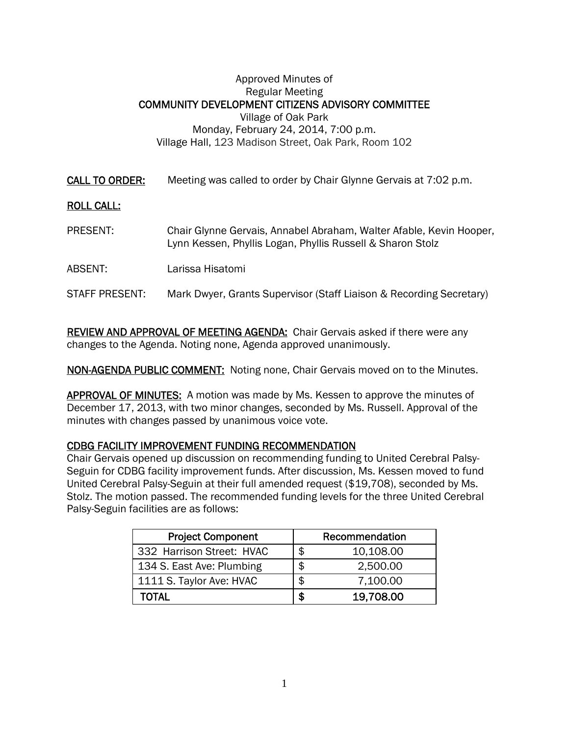## Approved Minutes of Regular Meeting COMMUNITY DEVELOPMENT CITIZENS ADVISORY COMMITTEE Village of Oak Park Monday, February 24, 2014, 7:00 p.m. Village Hall, 123 Madison Street, Oak Park, Room 102

CALL TO ORDER: Meeting was called to order by Chair Glynne Gervais at 7:02 p.m.

## ROLL CALL:

- PRESENT: Chair Glynne Gervais, Annabel Abraham, Walter Afable, Kevin Hooper, Lynn Kessen, Phyllis Logan, Phyllis Russell & Sharon Stolz
- ABSENT: Larissa Hisatomi

## STAFF PRESENT: Mark Dwyer, Grants Supervisor (Staff Liaison & Recording Secretary)

REVIEW AND APPROVAL OF MEETING AGENDA: Chair Gervais asked if there were any changes to the Agenda. Noting none, Agenda approved unanimously.

NON-AGENDA PUBLIC COMMENT: Noting none, Chair Gervais moved on to the Minutes.

APPROVAL OF MINUTES: A motion was made by Ms. Kessen to approve the minutes of December 17, 2013, with two minor changes, seconded by Ms. Russell. Approval of the minutes with changes passed by unanimous voice vote.

## CDBG FACILITY IMPROVEMENT FUNDING RECOMMENDATION

Chair Gervais opened up discussion on recommending funding to United Cerebral Palsy-Seguin for CDBG facility improvement funds. After discussion, Ms. Kessen moved to fund United Cerebral Palsy-Seguin at their full amended request (\$19,708), seconded by Ms. Stolz. The motion passed. The recommended funding levels for the three United Cerebral Palsy-Seguin facilities are as follows:

| <b>Project Component</b>  |   | Recommendation |
|---------------------------|---|----------------|
| 332 Harrison Street: HVAC | S | 10,108.00      |
| 134 S. East Ave: Plumbing | S | 2,500.00       |
| 1111 S. Taylor Ave: HVAC  | S | 7,100.00       |
| TOTAL                     |   | 19,708.00      |